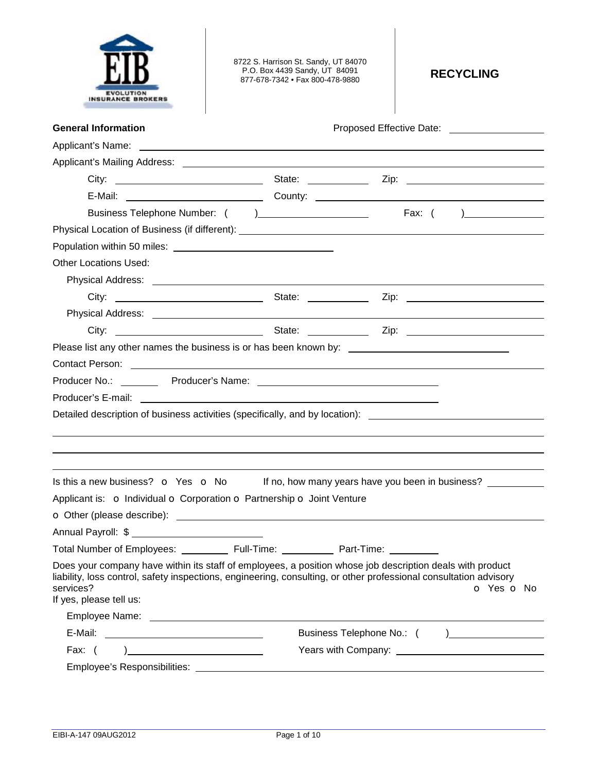|                          | <b>EVOLUTION</b> |  |  |
|--------------------------|------------------|--|--|
| <b>INSURANCE BROKERS</b> |                  |  |  |

8722 S. Harrison St. Sandy, UT 84070 P.O. Box 4439 Sandy, UT 84091 877-678-7342 • Fax 800-478-9880 **RECYCLING** 

| <b>General Information</b>                                                                                                                                                                                                                                             | Proposed Effective Date: National Assembly Proposed Effective Date: |
|------------------------------------------------------------------------------------------------------------------------------------------------------------------------------------------------------------------------------------------------------------------------|---------------------------------------------------------------------|
|                                                                                                                                                                                                                                                                        |                                                                     |
|                                                                                                                                                                                                                                                                        |                                                                     |
|                                                                                                                                                                                                                                                                        |                                                                     |
|                                                                                                                                                                                                                                                                        |                                                                     |
|                                                                                                                                                                                                                                                                        |                                                                     |
|                                                                                                                                                                                                                                                                        |                                                                     |
|                                                                                                                                                                                                                                                                        |                                                                     |
| <b>Other Locations Used:</b>                                                                                                                                                                                                                                           |                                                                     |
|                                                                                                                                                                                                                                                                        |                                                                     |
|                                                                                                                                                                                                                                                                        |                                                                     |
|                                                                                                                                                                                                                                                                        |                                                                     |
|                                                                                                                                                                                                                                                                        |                                                                     |
| Please list any other names the business is or has been known by: __________________________________                                                                                                                                                                   |                                                                     |
|                                                                                                                                                                                                                                                                        |                                                                     |
|                                                                                                                                                                                                                                                                        |                                                                     |
|                                                                                                                                                                                                                                                                        |                                                                     |
| Detailed description of business activities (specifically, and by location): _______________________                                                                                                                                                                   |                                                                     |
|                                                                                                                                                                                                                                                                        |                                                                     |
| ,我们也不会有什么。""我们的人,我们也不会有什么?""我们的人,我们也不会有什么?""我们的人,我们也不会有什么?""我们的人,我们也不会有什么?""我们的人                                                                                                                                                                                       |                                                                     |
|                                                                                                                                                                                                                                                                        |                                                                     |
| Is this a new business? $\circ$ Yes $\circ$ No If no, how many years have you been in business?                                                                                                                                                                        |                                                                     |
| Applicant is: o Individual o Corporation o Partnership o Joint Venture                                                                                                                                                                                                 |                                                                     |
|                                                                                                                                                                                                                                                                        |                                                                     |
| Annual Payroll: \$                                                                                                                                                                                                                                                     |                                                                     |
| Total Number of Employees: ____________ Full-Time: __________                                                                                                                                                                                                          | Part-Time:                                                          |
| Does your company have within its staff of employees, a position whose job description deals with product<br>liability, loss control, safety inspections, engineering, consulting, or other professional consultation advisory<br>services?<br>If yes, please tell us: | o Yes o No                                                          |
|                                                                                                                                                                                                                                                                        |                                                                     |
|                                                                                                                                                                                                                                                                        | Business Telephone No.: ( ) _________________                       |
|                                                                                                                                                                                                                                                                        |                                                                     |
|                                                                                                                                                                                                                                                                        |                                                                     |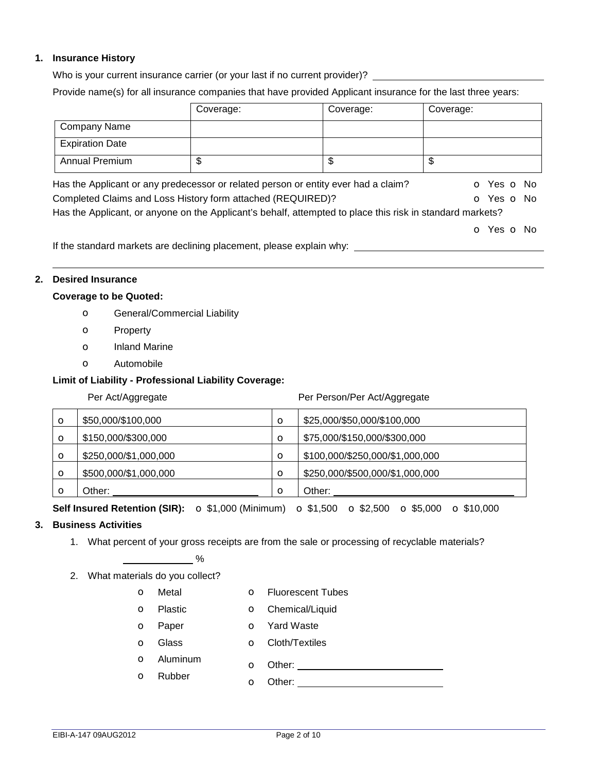### **1. Insurance History**

Who is your current insurance carrier (or your last if no current provider)? \_\_\_\_\_\_\_

Provide name(s) for all insurance companies that have provided Applicant insurance for the last three years:

|                                                                                                           | Coverage: | Coverage: | Coverage:  |
|-----------------------------------------------------------------------------------------------------------|-----------|-----------|------------|
| <b>Company Name</b>                                                                                       |           |           |            |
| <b>Expiration Date</b>                                                                                    |           |           |            |
| <b>Annual Premium</b>                                                                                     | \$        | \$        | \$         |
| Has the Applicant or any predecessor or related person or entity ever had a claim?                        |           |           | O Yes O No |
| Completed Claims and Loss History form attached (REQUIRED)?                                               |           |           | O Yes O No |
| Has the Applicant, or anyone on the Applicant's behalf, attempted to place this risk in standard markets? |           |           |            |
|                                                                                                           |           |           | O Yes O No |
| If the standard markets are declining placement, please explain why:                                      |           |           |            |

### **2. Desired Insurance**

#### **Coverage to be Quoted:**

- o General/Commercial Liability
- o Property
- o Inland Marine
- o Automobile

### **Limit of Liability - Professional Liability Coverage:**

| Per Act/Aggregate |                       |         | Per Person/Per Act/Aggregate    |
|-------------------|-----------------------|---------|---------------------------------|
| O                 | \$50,000/\$100,000    | $\circ$ | \$25,000/\$50,000/\$100,000     |
| $\mathbf o$       | \$150,000/\$300,000   | O       | \$75,000/\$150,000/\$300,000    |
| $\circ$           | \$250,000/\$1,000,000 | $\circ$ | \$100,000/\$250,000/\$1,000,000 |
| $\circ$           | \$500,000/\$1,000,000 | $\circ$ | \$250,000/\$500,000/\$1,000,000 |
| O                 | Other:                | $\circ$ | Other:                          |

# **Self Insured Retention (SIR):** o \$1,000 (Minimum) o \$1,500 o \$2,500 o \$5,000 o \$10,000

# **3. Business Activities**

1. What percent of your gross receipts are from the sale or processing of recyclable materials?

# $\%$

- 2. What materials do you collect?
	- o Metal o Fluorescent Tubes
		-
	- o Plastic o Chemical/Liquid

o Aluminum

o Rubber

- **o** Paper **o** Yard Waste
- o Glass o Cloth/Textiles
- -
- o Other:
- o Other: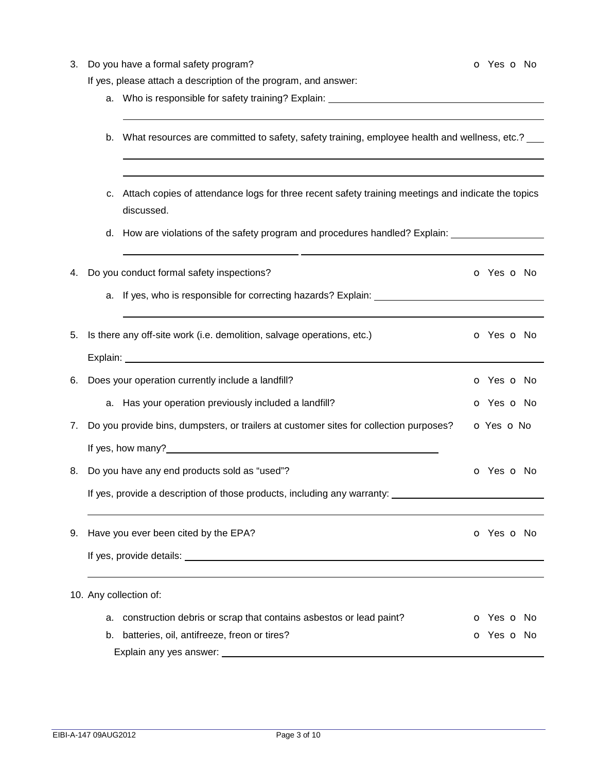| 3. | Do you have a formal safety program?<br>If yes, please attach a description of the program, and answer:                | <b>o</b> Yes <b>o</b> No |
|----|------------------------------------------------------------------------------------------------------------------------|--------------------------|
|    | Who is responsible for safety training? Explain: _______________________________<br>а.                                 |                          |
|    | What resources are committed to safety, safety training, employee health and wellness, etc.? ___<br>b.                 |                          |
|    | Attach copies of attendance logs for three recent safety training meetings and indicate the topics<br>с.<br>discussed. |                          |
|    | d. How are violations of the safety program and procedures handled? Explain: ________________                          |                          |
| 4. | Do you conduct formal safety inspections?                                                                              | <b>o</b> Yes <b>o</b> No |
|    |                                                                                                                        |                          |
| 5. | Is there any off-site work (i.e. demolition, salvage operations, etc.)                                                 | <b>o</b> Yes <b>o</b> No |
|    |                                                                                                                        |                          |
| 6. | Does your operation currently include a landfill?                                                                      | O Yes O No               |
|    | a. Has your operation previously included a landfill?                                                                  | o Yes o No               |
| 7. | Do you provide bins, dumpsters, or trailers at customer sites for collection purposes?                                 | O Yes O No               |
|    | If yes, how many?                                                                                                      |                          |
| 8. | Do you have any end products sold as "used"?                                                                           | <b>o</b> Yes <b>o</b> No |
|    | If yes, provide a description of those products, including any warranty:                                               |                          |
| 9. | Have you ever been cited by the EPA?                                                                                   | o Yes o No               |
|    |                                                                                                                        |                          |
|    | 10. Any collection of:                                                                                                 |                          |
|    | construction debris or scrap that contains asbestos or lead paint?<br>а.                                               | <b>o</b> Yes <b>o</b> No |
|    | batteries, oil, antifreeze, freon or tires?<br>b.                                                                      | <b>o</b> Yes <b>o</b> No |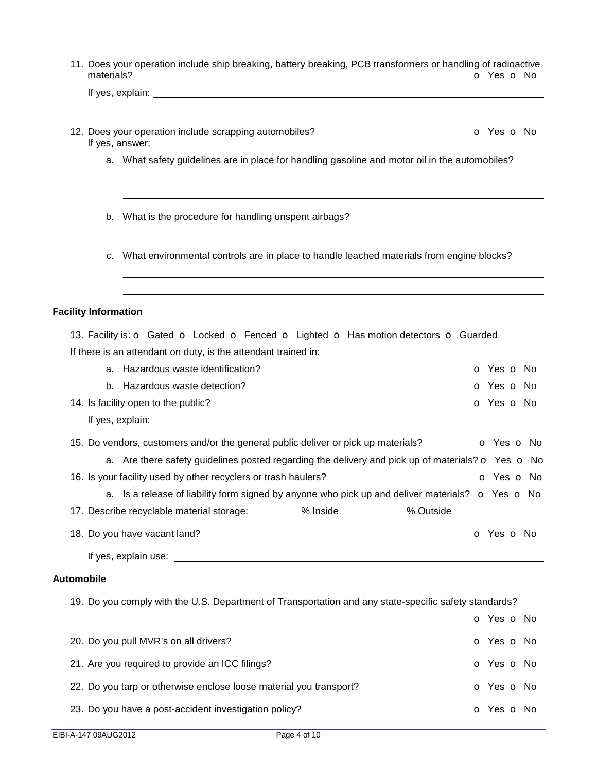|                   | materials?                  | 11. Does your operation include ship breaking, battery breaking, PCB transformers or handling of radioactive                                                                                                                         | O Yes O No               |                          |
|-------------------|-----------------------------|--------------------------------------------------------------------------------------------------------------------------------------------------------------------------------------------------------------------------------------|--------------------------|--------------------------|
|                   |                             |                                                                                                                                                                                                                                      |                          |                          |
|                   |                             | 12. Does your operation include scrapping automobiles?<br>If yes, answer:                                                                                                                                                            | <b>o</b> Yes <b>o</b> No |                          |
|                   |                             | a. What safety guidelines are in place for handling gasoline and motor oil in the automobiles?                                                                                                                                       |                          |                          |
|                   | b.                          | What is the procedure for handling unspent airbags? ____________________________                                                                                                                                                     |                          |                          |
|                   | c.                          | What environmental controls are in place to handle leached materials from engine blocks?                                                                                                                                             |                          |                          |
|                   | <b>Facility Information</b> |                                                                                                                                                                                                                                      |                          |                          |
|                   |                             | 13. Facility is: o Gated o Locked o Fenced o Lighted o Has motion detectors o Guarded                                                                                                                                                |                          |                          |
|                   |                             | If there is an attendant on duty, is the attendant trained in:                                                                                                                                                                       |                          |                          |
|                   |                             | a. Hazardous waste identification?                                                                                                                                                                                                   | o Yes o No               |                          |
|                   |                             | b. Hazardous waste detection?                                                                                                                                                                                                        | <b>o</b> Yes <b>o</b> No |                          |
|                   |                             | 14. Is facility open to the public?                                                                                                                                                                                                  | <b>o</b> Yes <b>o</b> No |                          |
|                   |                             |                                                                                                                                                                                                                                      |                          |                          |
|                   |                             | 15. Do vendors, customers and/or the general public deliver or pick up materials?                                                                                                                                                    |                          | <b>o</b> Yes <b>o</b> No |
|                   |                             | a. Are there safety guidelines posted regarding the delivery and pick up of materials? $\bullet$ Yes $\bullet$ No                                                                                                                    |                          |                          |
|                   |                             | 16. Is your facility used by other recyclers or trash haulers?                                                                                                                                                                       |                          | o Yes o No               |
|                   |                             | a. Is a release of liability form signed by anyone who pick up and deliver materials? $\bullet$ Yes $\bullet$ No                                                                                                                     |                          |                          |
|                   |                             | 17. Describe recyclable material storage: _________ % Inside __________ % Outside                                                                                                                                                    |                          |                          |
|                   |                             | 18. Do you have vacant land?                                                                                                                                                                                                         | o Yes o No               |                          |
|                   |                             | If yes, explain use: <u>example and the set of the set of the set of the set of the set of the set of the set of the set of the set of the set of the set of the set of the set of the set of the set of the set of the set of t</u> |                          |                          |
| <b>Automobile</b> |                             |                                                                                                                                                                                                                                      |                          |                          |
|                   |                             | 19. Do you comply with the U.S. Department of Transportation and any state-specific safety standards?                                                                                                                                |                          |                          |
|                   |                             |                                                                                                                                                                                                                                      | o Yes o No               |                          |
|                   |                             | 20. Do you pull MVR's on all drivers?                                                                                                                                                                                                | o Yes o No               |                          |
|                   |                             | 21. Are you required to provide an ICC filings?                                                                                                                                                                                      | o Yes o No               |                          |
|                   |                             |                                                                                                                                                                                                                                      |                          |                          |

- 22. Do you tarp or otherwise enclose loose material you transport? **O** Yes **O** No
- 23. Do you have a post-accident investigation policy? **but a contract of the Southern Contract Contract Contract Contract Contract Contract Contract Contract Contract Contract Contract Contract Contract Contract Contract C**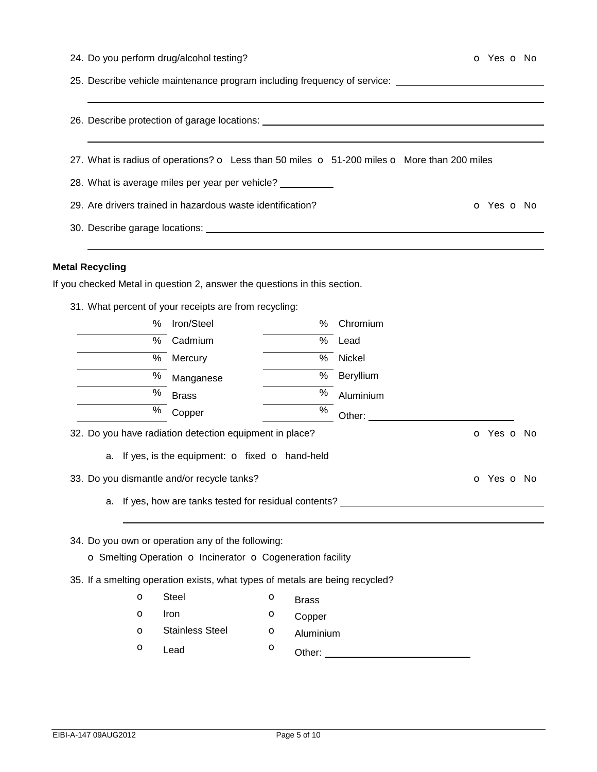|  |  | 24. Do you perform drug/alcohol testing? |  |
|--|--|------------------------------------------|--|
|  |  |                                          |  |

25. Describe vehicle maintenance program including frequency of service:

|                        |                                                                              |   |              | 27. What is radius of operations? o Less than 50 miles o 51-200 miles o More than 200 miles                                                                                                                                    |            |
|------------------------|------------------------------------------------------------------------------|---|--------------|--------------------------------------------------------------------------------------------------------------------------------------------------------------------------------------------------------------------------------|------------|
|                        | 28. What is average miles per year per vehicle?                              |   |              |                                                                                                                                                                                                                                |            |
|                        | 29. Are drivers trained in hazardous waste identification?                   |   |              |                                                                                                                                                                                                                                | o Yes o No |
|                        |                                                                              |   |              |                                                                                                                                                                                                                                |            |
| <b>Metal Recycling</b> |                                                                              |   |              |                                                                                                                                                                                                                                |            |
|                        | If you checked Metal in question 2, answer the questions in this section.    |   |              |                                                                                                                                                                                                                                |            |
|                        | 31. What percent of your receipts are from recycling:                        |   |              |                                                                                                                                                                                                                                |            |
| %                      | Iron/Steel                                                                   |   | ℅            | Chromium                                                                                                                                                                                                                       |            |
| %                      | Cadmium                                                                      |   | $\%$         | Lead                                                                                                                                                                                                                           |            |
| %                      | Mercury                                                                      |   | %            | Nickel                                                                                                                                                                                                                         |            |
| $\%$                   | Manganese                                                                    |   | $\%$         | Beryllium                                                                                                                                                                                                                      |            |
| $\%$                   | <b>Brass</b>                                                                 |   | $\%$         | Aluminium                                                                                                                                                                                                                      |            |
| $\%$                   | Copper                                                                       |   | $\%$         | Other: and the contract of the contract of the contract of the contract of the contract of the contract of the contract of the contract of the contract of the contract of the contract of the contract of the contract of the |            |
|                        | 32. Do you have radiation detection equipment in place?                      |   |              |                                                                                                                                                                                                                                | o Yes o No |
| а.                     | If yes, is the equipment: o fixed o hand-held                                |   |              |                                                                                                                                                                                                                                |            |
|                        | 33. Do you dismantle and/or recycle tanks?                                   |   |              |                                                                                                                                                                                                                                | O Yes O No |
| a.                     |                                                                              |   |              | If yes, how are tanks tested for residual contents? ____________________________                                                                                                                                               |            |
|                        | 34. Do you own or operation any of the following:                            |   |              |                                                                                                                                                                                                                                |            |
|                        | o Smelting Operation o Incinerator o Cogeneration facility                   |   |              |                                                                                                                                                                                                                                |            |
|                        | 35. If a smelting operation exists, what types of metals are being recycled? |   |              |                                                                                                                                                                                                                                |            |
| $\circ$                | <b>Steel</b>                                                                 | O | <b>Brass</b> |                                                                                                                                                                                                                                |            |

**o** Lead **o** Other: <u>contract of Others and Others and Others and Others and Others and Others and Others and Others and Others and Others and Others and Others and Others and Others and Others and Others and Others and Ot</u>

o Iron o Copper **o** Stainless Steel **o** Aluminium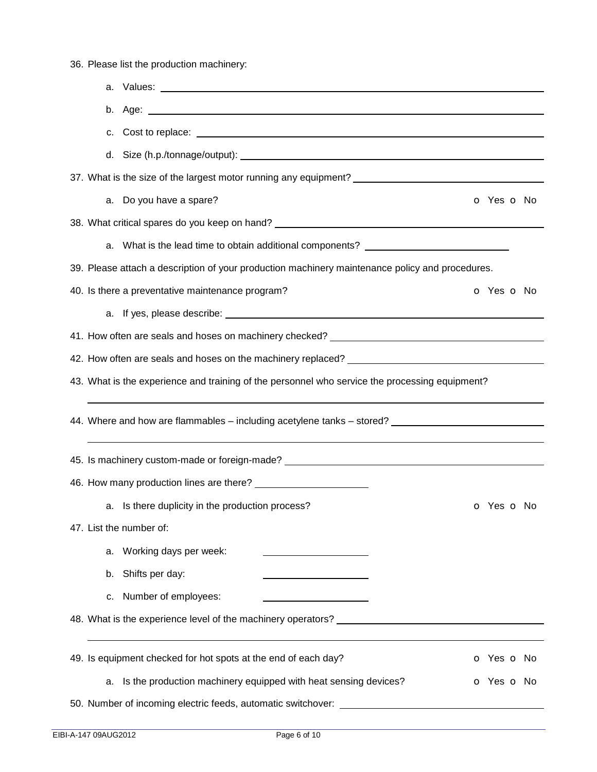36. Please list the production machinery:

| C. | Cost to replace: <u>example and contract and contract and contract and contract and contract and contract and contract of the set of the set of the set of the set of the set of the set of the set of the set of the set of the</u> |                          |
|----|--------------------------------------------------------------------------------------------------------------------------------------------------------------------------------------------------------------------------------------|--------------------------|
|    |                                                                                                                                                                                                                                      |                          |
|    | 37. What is the size of the largest motor running any equipment? ___________________________________                                                                                                                                 |                          |
|    | a. Do you have a spare?                                                                                                                                                                                                              | <b>o</b> Yes <b>o</b> No |
|    |                                                                                                                                                                                                                                      |                          |
|    | a. What is the lead time to obtain additional components? ______________________                                                                                                                                                     |                          |
|    | 39. Please attach a description of your production machinery maintenance policy and procedures.                                                                                                                                      |                          |
|    | 40. Is there a preventative maintenance program?                                                                                                                                                                                     | <b>o</b> Yes <b>o</b> No |
|    |                                                                                                                                                                                                                                      |                          |
|    |                                                                                                                                                                                                                                      |                          |
|    |                                                                                                                                                                                                                                      |                          |
|    | 43. What is the experience and training of the personnel who service the processing equipment?                                                                                                                                       |                          |
|    | 44. Where and how are flammables – including acetylene tanks – stored?                                                                                                                                                               |                          |
|    |                                                                                                                                                                                                                                      |                          |
|    |                                                                                                                                                                                                                                      |                          |
|    | a. Is there duplicity in the production process?                                                                                                                                                                                     | o Yes o No               |
|    | 47. List the number of:                                                                                                                                                                                                              |                          |
| а. | Working days per week:                                                                                                                                                                                                               |                          |
| b. | Shifts per day:<br><u> 1989 - Johann Barn, mars eta bainar eta bainar eta baina eta baina eta baina eta baina eta baina eta baina e</u>                                                                                              |                          |
| С. | Number of employees:                                                                                                                                                                                                                 |                          |
|    | 48. What is the experience level of the machinery operators? Letterman and the experience of the state of the machinery operators?                                                                                                   |                          |
|    | 49. Is equipment checked for hot spots at the end of each day?                                                                                                                                                                       | o Yes o No               |
| a. | Is the production machinery equipped with heat sensing devices?                                                                                                                                                                      | <b>o</b> Yes <b>o</b> No |
|    | 50. Number of incoming electric feeds, automatic switchover: ___________________                                                                                                                                                     |                          |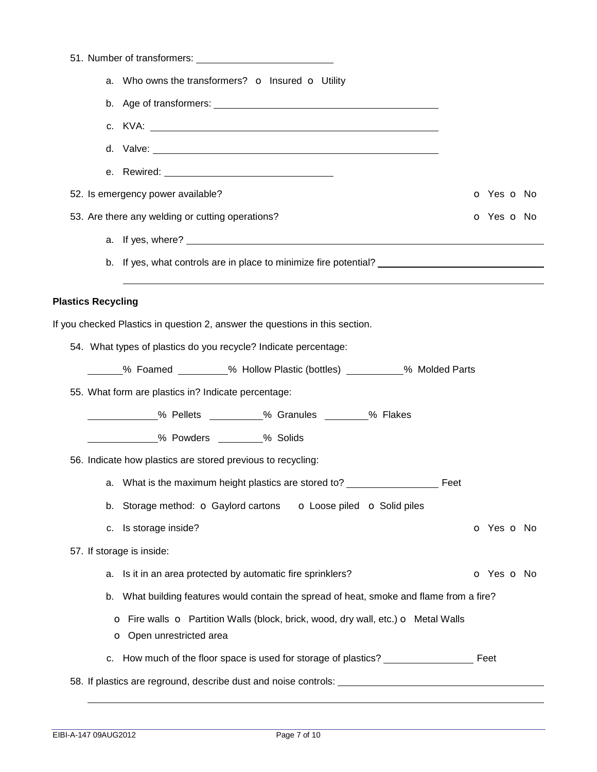|                           | a. Who owns the transformers? o Insured o Utility                                                                                  |            |
|---------------------------|------------------------------------------------------------------------------------------------------------------------------------|------------|
| b.                        |                                                                                                                                    |            |
|                           |                                                                                                                                    |            |
|                           |                                                                                                                                    |            |
|                           |                                                                                                                                    |            |
|                           | 52. Is emergency power available?                                                                                                  | o Yes o No |
|                           | 53. Are there any welding or cutting operations?                                                                                   | o Yes o No |
|                           |                                                                                                                                    |            |
|                           | b. If yes, what controls are in place to minimize fire potential? __________________________________                               |            |
| <b>Plastics Recycling</b> |                                                                                                                                    |            |
|                           | If you checked Plastics in question 2, answer the questions in this section.                                                       |            |
|                           | 54. What types of plastics do you recycle? Indicate percentage:                                                                    |            |
|                           | ______% Foamed _________% Hollow Plastic (bottles) __________% Molded Parts                                                        |            |
|                           | 55. What form are plastics in? Indicate percentage:                                                                                |            |
|                           | ____________% Pellets __________% Granules ________% Flakes                                                                        |            |
|                           | 26 Powders ________% Solids                                                                                                        |            |
|                           | 56. Indicate how plastics are stored previous to recycling:                                                                        |            |
| а.                        | What is the maximum height plastics are stored to?                                                                                 | Feet       |
| b.                        | Storage method: O Gaylord cartons<br><b>o</b> Loose piled <b>o</b> Solid piles                                                     |            |
| с.                        | Is storage inside?                                                                                                                 | o Yes o No |
|                           | 57. If storage is inside:                                                                                                          |            |
| а.                        | Is it in an area protected by automatic fire sprinklers?                                                                           | o Yes o No |
| b.                        | What building features would contain the spread of heat, smoke and flame from a fire?                                              |            |
|                           | <b>O</b> Fire walls <b>O</b> Partition Walls (block, brick, wood, dry wall, etc.) <b>O</b> Metal Walls<br>O Open unrestricted area |            |
| c.                        | How much of the floor space is used for storage of plastics? ___________________                                                   | Feet       |
|                           |                                                                                                                                    |            |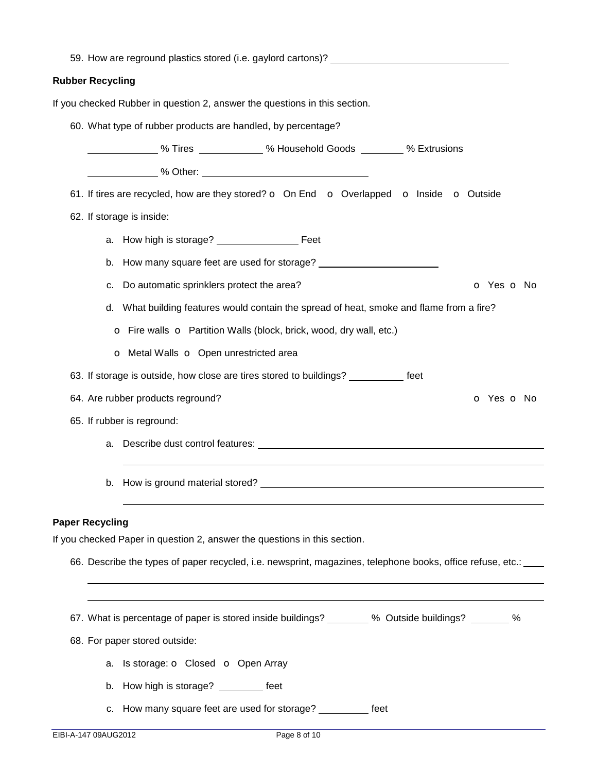| <b>Rubber Recycling</b> |                                                                                                                                                                                                                                |
|-------------------------|--------------------------------------------------------------------------------------------------------------------------------------------------------------------------------------------------------------------------------|
|                         | If you checked Rubber in question 2, answer the questions in this section.                                                                                                                                                     |
|                         | 60. What type of rubber products are handled, by percentage?                                                                                                                                                                   |
|                         | ________________% Tires ______________% Household Goods _________ % Extrusions                                                                                                                                                 |
|                         |                                                                                                                                                                                                                                |
|                         | 61. If tires are recycled, how are they stored? o On End o Overlapped o Inside o Outside                                                                                                                                       |
|                         | 62. If storage is inside:                                                                                                                                                                                                      |
|                         |                                                                                                                                                                                                                                |
| b.                      |                                                                                                                                                                                                                                |
| c.                      | Do automatic sprinklers protect the area?<br><b>o</b> Yes <b>o</b> No                                                                                                                                                          |
| d.                      | What building features would contain the spread of heat, smoke and flame from a fire?                                                                                                                                          |
|                         | O Fire walls O Partition Walls (block, brick, wood, dry wall, etc.)                                                                                                                                                            |
|                         | o Metal Walls o Open unrestricted area                                                                                                                                                                                         |
|                         | 63. If storage is outside, how close are tires stored to buildings? __________ feet                                                                                                                                            |
|                         | 64. Are rubber products reground?<br><b>o</b> Yes <b>o</b> No                                                                                                                                                                  |
|                         | 65. If rubber is reground:                                                                                                                                                                                                     |
| а.                      | Describe dust control features: example and a series of the series of the series of the series of the series of the series of the series of the series of the series of the series of the series of the series of the series o |
|                         |                                                                                                                                                                                                                                |
|                         |                                                                                                                                                                                                                                |
|                         |                                                                                                                                                                                                                                |
| <b>Paper Recycling</b>  | If you checked Paper in question 2, answer the questions in this section.                                                                                                                                                      |
|                         | 66. Describe the types of paper recycled, i.e. newsprint, magazines, telephone books, office refuse, etc.: ___                                                                                                                 |
|                         |                                                                                                                                                                                                                                |
|                         |                                                                                                                                                                                                                                |
|                         | 67. What is percentage of paper is stored inside buildings? _______ % Outside buildings? _______ %                                                                                                                             |
|                         | 68. For paper stored outside:                                                                                                                                                                                                  |
| a.                      | Is storage: <b>o</b> Closed <b>o</b> Open Array                                                                                                                                                                                |
| b.                      | How high is storage? _________ feet                                                                                                                                                                                            |
|                         | c. How many square feet are used for storage?<br>feet                                                                                                                                                                          |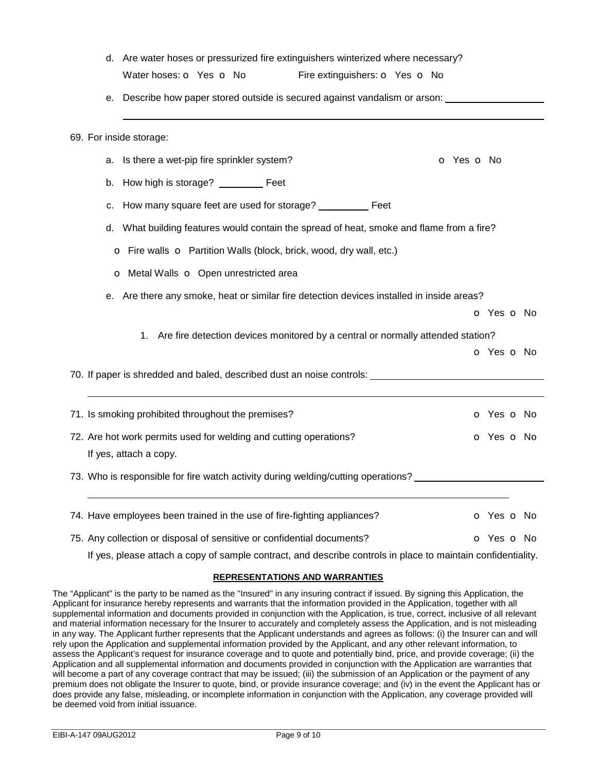|    | d. Are water hoses or pressurized fire extinguishers winterized where necessary?                             |                          |
|----|--------------------------------------------------------------------------------------------------------------|--------------------------|
|    | Water hoses: O Yes O No<br>Fire extinguishers: O Yes O No                                                    |                          |
| е. | Describe how paper stored outside is secured against vandalism or arson: _______________                     |                          |
|    | 69. For inside storage:                                                                                      |                          |
| а. | Is there a wet-pip fire sprinkler system?                                                                    | O Yes O No               |
| b. | How high is storage? _________ Feet                                                                          |                          |
| c. | How many square feet are used for storage? ___________ Feet                                                  |                          |
| d. | What building features would contain the spread of heat, smoke and flame from a fire?                        |                          |
|    | O Fire walls O Partition Walls (block, brick, wood, dry wall, etc.)                                          |                          |
|    | o Metal Walls o Open unrestricted area                                                                       |                          |
| е. | Are there any smoke, heat or similar fire detection devices installed in inside areas?                       |                          |
|    |                                                                                                              | <b>o</b> Yes <b>o</b> No |
|    | 1. Are fire detection devices monitored by a central or normally attended station?                           |                          |
|    |                                                                                                              | o Yes o No               |
|    | 70. If paper is shredded and baled, described dust an noise controls: ______________________________         |                          |
|    |                                                                                                              |                          |
|    | 71. Is smoking prohibited throughout the premises?                                                           | o Yes o No               |
|    | 72. Are hot work permits used for welding and cutting operations?                                            | o Yes o No               |
|    | If yes, attach a copy.                                                                                       |                          |
|    | 73. Who is responsible for fire watch activity during welding/cutting operations?                            |                          |
|    | 74. Have employees been trained in the use of fire-fighting appliances?                                      | <b>o</b> Yes <b>o</b> No |
|    | 75. Any collection or disposal of sensitive or confidential documents?                                       | O Yes O No               |
|    | If yes, please attach a copy of sample contract, and describe controls in place to maintain confidentiality. |                          |

#### **REPRESENTATIONS AND WARRANTIES**

The "Applicant" is the party to be named as the "Insured" in any insuring contract if issued. By signing this Application, the Applicant for insurance hereby represents and warrants that the information provided in the Application, together with all supplemental information and documents provided in conjunction with the Application, is true, correct, inclusive of all relevant and material information necessary for the Insurer to accurately and completely assess the Application, and is not misleading in any way. The Applicant further represents that the Applicant understands and agrees as follows: (i) the Insurer can and will rely upon the Application and supplemental information provided by the Applicant, and any other relevant information, to assess the Applicant's request for insurance coverage and to quote and potentially bind, price, and provide coverage; (ii) the Application and all supplemental information and documents provided in conjunction with the Application are warranties that will become a part of any coverage contract that may be issued; (iii) the submission of an Application or the payment of any premium does not obligate the Insurer to quote, bind, or provide insurance coverage; and (iv) in the event the Applicant has or does provide any false, misleading, or incomplete information in conjunction with the Application, any coverage provided will be deemed void from initial issuance.